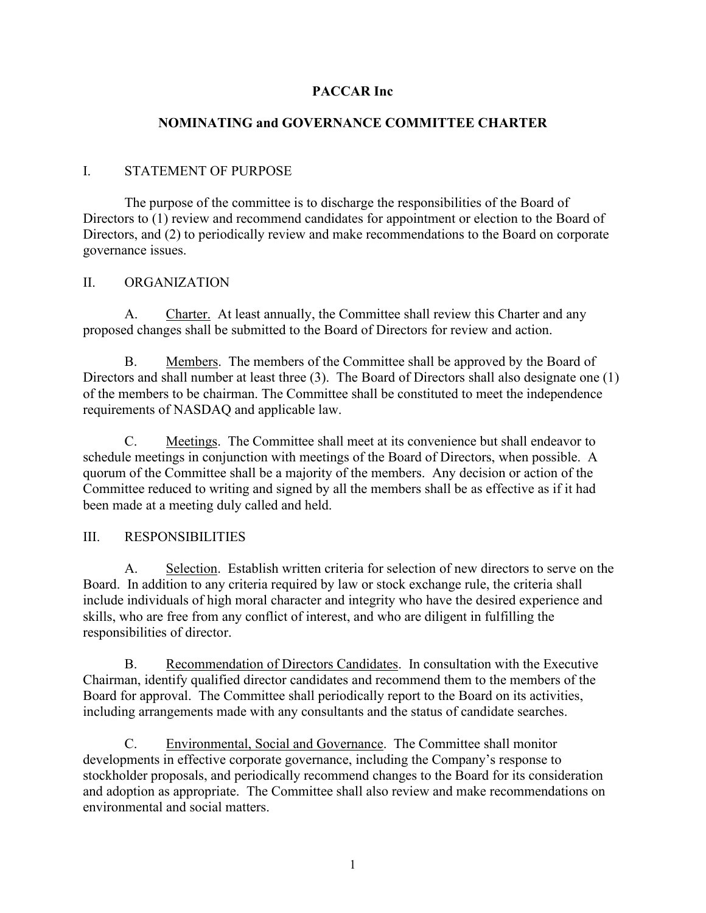# **PACCAR Inc**

### **NOMINATING and GOVERNANCE COMMITTEE CHARTER**

### I. STATEMENT OF PURPOSE

The purpose of the committee is to discharge the responsibilities of the Board of Directors to (1) review and recommend candidates for appointment or election to the Board of Directors, and (2) to periodically review and make recommendations to the Board on corporate governance issues.

#### II. ORGANIZATION

A. Charter. At least annually, the Committee shall review this Charter and any proposed changes shall be submitted to the Board of Directors for review and action.

B. Members. The members of the Committee shall be approved by the Board of Directors and shall number at least three (3). The Board of Directors shall also designate one (1) of the members to be chairman. The Committee shall be constituted to meet the independence requirements of NASDAQ and applicable law.

C. Meetings. The Committee shall meet at its convenience but shall endeavor to schedule meetings in conjunction with meetings of the Board of Directors, when possible. A quorum of the Committee shall be a majority of the members. Any decision or action of the Committee reduced to writing and signed by all the members shall be as effective as if it had been made at a meeting duly called and held.

#### III. RESPONSIBILITIES

A. Selection. Establish written criteria for selection of new directors to serve on the Board. In addition to any criteria required by law or stock exchange rule, the criteria shall include individuals of high moral character and integrity who have the desired experience and skills, who are free from any conflict of interest, and who are diligent in fulfilling the responsibilities of director.

B. Recommendation of Directors Candidates. In consultation with the Executive Chairman, identify qualified director candidates and recommend them to the members of the Board for approval. The Committee shall periodically report to the Board on its activities, including arrangements made with any consultants and the status of candidate searches.

C. Environmental, Social and Governance. The Committee shall monitor developments in effective corporate governance, including the Company's response to stockholder proposals, and periodically recommend changes to the Board for its consideration and adoption as appropriate. The Committee shall also review and make recommendations on environmental and social matters.